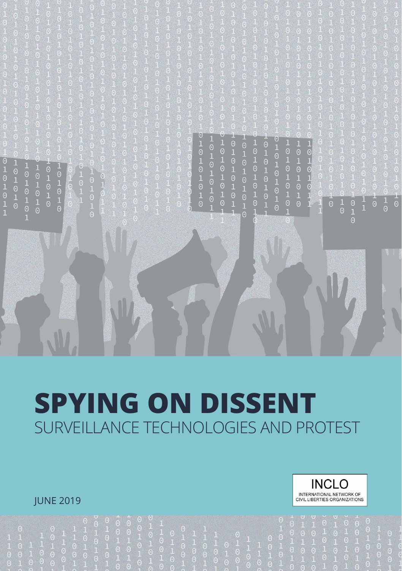$010101010$  $010101010$  $101010101$  $10101010$  $010101010$  $10101$ <br> $10101$  $\begin{array}{c} 1 \\ 0 \\ 1 \end{array}$  $0101$  $\frac{1}{0}$  $\frac{1}{0}$ 

# **SPYING ON DISSENT** SURVEILLANCE TECHNOLOGIES AND PROTEST

#### **IUNE 2019**

W

**INCLO** INTERNATIONAL NETWORK OF<br>CIVIL LIBERTIES ORGANIZATIONS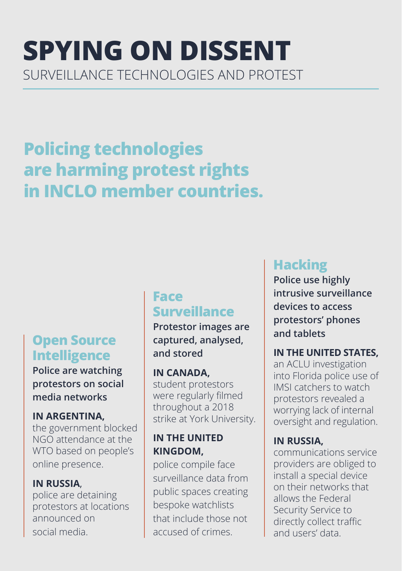## **SPYING ON DISSENT**  SURVEILLANCE TECHNOLOGIES AND PROTEST

## **Policing technologies are harming protest rights in INCLO member countries.**

## **Open Source Intelligence**

**Police are watching protestors on social media networks**

#### **IN ARGENTINA,**

the government blocked NGO attendance at the WTO based on people's online presence.

#### **IN RUSSIA**,

police are detaining protestors at locations announced on social media.

## **Face Surveillance**

**Protestor images are captured, analysed, and stored** 

#### **IN CANADA,**

student protestors were regularly filmed throughout a 2018 strike at York University.

#### **IN THE UNITED KINGDOM,**

police compile face surveillance data from public spaces creating bespoke watchlists that include those not accused of crimes.

## **Hacking**

**Police use highly intrusive surveillance devices to access protestors' phones and tablets** 

#### **IN THE UNITED STATES,**

an ACLU investigation into Florida police use of IMSI catchers to watch protestors revealed a worrying lack of internal oversight and regulation.

#### **IN RUSSIA,**

communications service providers are obliged to install a special device on their networks that allows the Federal Security Service to directly collect traffic and users' data.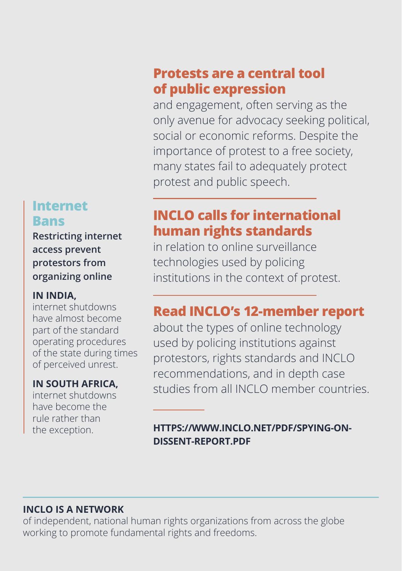## **Internet Bans**

**Restricting internet access prevent protestors from organizing online** 

#### **IN INDIA,**

internet shutdowns have almost become part of the standard operating procedures of the state during times of perceived unrest.

#### **IN SOUTH AFRICA,**

internet shutdowns have become the rule rather than the exception.

## **Protests are a central tool of public expression**

and engagement, often serving as the only avenue for advocacy seeking political, social or economic reforms. Despite the importance of protest to a free society, many states fail to adequately protect protest and public speech.

## **INCLO calls for international human rights standards**

in relation to online surveillance technologies used by policing institutions in the context of protest.

### **Read INCLO's 12-member report**

about the types of online technology used by policing institutions against protestors, rights standards and INCLO recommendations, and in depth case studies from all INCLO member countries.

#### **[HTTPS://WWW.INCLO.NET/PDF/SPYING-ON-](HTTPS://WWW.Inclo.net/pdf/spying-on-dissent-report.pdf)[DISSENT-REPORT.PDF](HTTPS://WWW.Inclo.net/pdf/spying-on-dissent-report.pdf)**

#### **INCLO IS A NETWORK**

of independent, national human rights organizations from across the globe working to promote fundamental rights and freedoms.